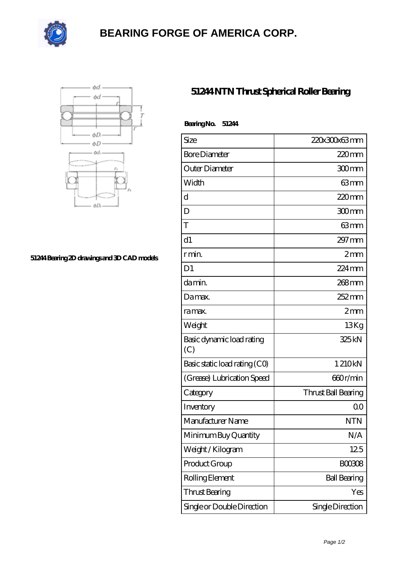

## **[BEARING FORGE OF AMERICA CORP.](https://nskf-bearings.com)**



## **[51244 Bearing 2D drawings and 3D CAD models](https://nskf-bearings.com/pic-1030228.html)**

## **[51244 NTN Thrust Spherical Roller Bearing](https://nskf-bearings.com/thrust-spherical-roller-bearing/51244.html)**

| BearingNo.<br>51244              |                     |
|----------------------------------|---------------------|
| Size                             | 220x300x63mm        |
| <b>Bore Diameter</b>             | 220mm               |
| Outer Diameter                   | 300mm               |
| Width                            | 63mm                |
| d                                | $220$ mm            |
| D                                | 300mm               |
| T                                | 63mm                |
| d1                               | $297 \,\mathrm{mm}$ |
| r min.                           | 2mm                 |
| D <sub>1</sub>                   | $224 \,\mathrm{mm}$ |
| da min.                          | $268$ mm            |
| Damax.                           | $252 \,\mathrm{mm}$ |
| ra max.                          | 2mm                 |
| Weight                           | 13Kg                |
| Basic dynamic load rating<br>(C) | 325kN               |
| Basic static load rating (CO)    | 1210kN              |
| (Grease) Lubrication Speed       | 660r/min            |
| Category                         | Thrust Ball Bearing |
| Inventory                        | 0 <sup>0</sup>      |
| Manufacturer Name                | <b>NTN</b>          |
| Minimum Buy Quantity             | N/A                 |
| Weight/Kilogram                  | 125                 |
| Product Group                    | <b>BOO3O8</b>       |
| Rolling Element                  | <b>Ball Bearing</b> |
| Thrust Bearing                   | Yes                 |
| Single or Double Direction       | Single Direction    |